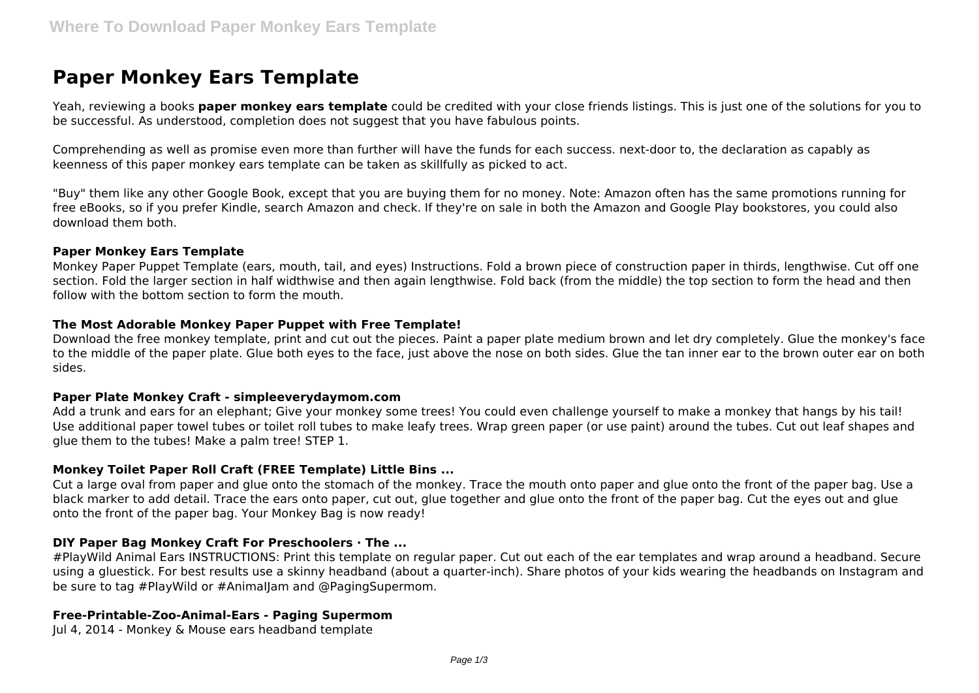# **Paper Monkey Ears Template**

Yeah, reviewing a books **paper monkey ears template** could be credited with your close friends listings. This is just one of the solutions for you to be successful. As understood, completion does not suggest that you have fabulous points.

Comprehending as well as promise even more than further will have the funds for each success. next-door to, the declaration as capably as keenness of this paper monkey ears template can be taken as skillfully as picked to act.

"Buy" them like any other Google Book, except that you are buying them for no money. Note: Amazon often has the same promotions running for free eBooks, so if you prefer Kindle, search Amazon and check. If they're on sale in both the Amazon and Google Play bookstores, you could also download them both.

#### **Paper Monkey Ears Template**

Monkey Paper Puppet Template (ears, mouth, tail, and eyes) Instructions. Fold a brown piece of construction paper in thirds, lengthwise. Cut off one section. Fold the larger section in half widthwise and then again lengthwise. Fold back (from the middle) the top section to form the head and then follow with the bottom section to form the mouth.

#### **The Most Adorable Monkey Paper Puppet with Free Template!**

Download the free monkey template, print and cut out the pieces. Paint a paper plate medium brown and let dry completely. Glue the monkey's face to the middle of the paper plate. Glue both eyes to the face, just above the nose on both sides. Glue the tan inner ear to the brown outer ear on both sides.

#### **Paper Plate Monkey Craft - simpleeverydaymom.com**

Add a trunk and ears for an elephant; Give your monkey some trees! You could even challenge yourself to make a monkey that hangs by his tail! Use additional paper towel tubes or toilet roll tubes to make leafy trees. Wrap green paper (or use paint) around the tubes. Cut out leaf shapes and glue them to the tubes! Make a palm tree! STEP 1.

## **Monkey Toilet Paper Roll Craft (FREE Template) Little Bins ...**

Cut a large oval from paper and glue onto the stomach of the monkey. Trace the mouth onto paper and glue onto the front of the paper bag. Use a black marker to add detail. Trace the ears onto paper, cut out, glue together and glue onto the front of the paper bag. Cut the eyes out and glue onto the front of the paper bag. Your Monkey Bag is now ready!

## **DIY Paper Bag Monkey Craft For Preschoolers · The ...**

#PlayWild Animal Ears INSTRUCTIONS: Print this template on regular paper. Cut out each of the ear templates and wrap around a headband. Secure using a gluestick. For best results use a skinny headband (about a quarter-inch). Share photos of your kids wearing the headbands on Instagram and be sure to tag #PIayWild or #AnimaIJam and @PagingSupermom.

## **Free-Printable-Zoo-Animal-Ears - Paging Supermom**

Jul 4, 2014 - Monkey & Mouse ears headband template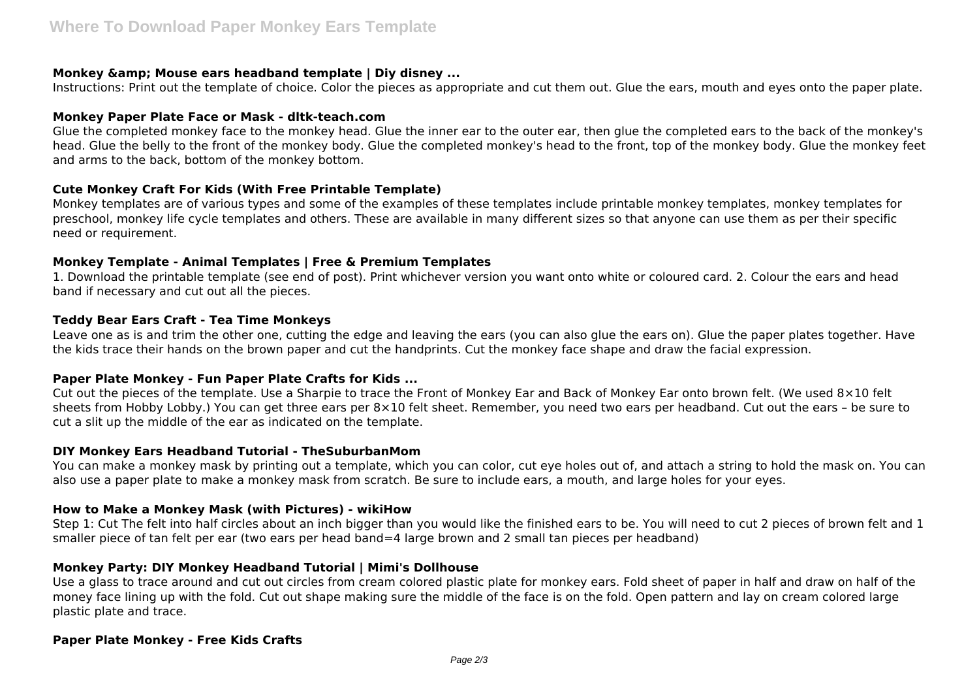## **Monkey & Mouse ears headband template | Diy disney ...**

Instructions: Print out the template of choice. Color the pieces as appropriate and cut them out. Glue the ears, mouth and eyes onto the paper plate.

# **Monkey Paper Plate Face or Mask - dltk-teach.com**

Glue the completed monkey face to the monkey head. Glue the inner ear to the outer ear, then glue the completed ears to the back of the monkey's head. Glue the belly to the front of the monkey body. Glue the completed monkey's head to the front, top of the monkey body. Glue the monkey feet and arms to the back, bottom of the monkey bottom.

## **Cute Monkey Craft For Kids (With Free Printable Template)**

Monkey templates are of various types and some of the examples of these templates include printable monkey templates, monkey templates for preschool, monkey life cycle templates and others. These are available in many different sizes so that anyone can use them as per their specific need or requirement.

## **Monkey Template - Animal Templates | Free & Premium Templates**

1. Download the printable template (see end of post). Print whichever version you want onto white or coloured card. 2. Colour the ears and head band if necessary and cut out all the pieces.

## **Teddy Bear Ears Craft - Tea Time Monkeys**

Leave one as is and trim the other one, cutting the edge and leaving the ears (you can also glue the ears on). Glue the paper plates together. Have the kids trace their hands on the brown paper and cut the handprints. Cut the monkey face shape and draw the facial expression.

## **Paper Plate Monkey - Fun Paper Plate Crafts for Kids ...**

Cut out the pieces of the template. Use a Sharpie to trace the Front of Monkey Ear and Back of Monkey Ear onto brown felt. (We used 8×10 felt sheets from Hobby Lobby.) You can get three ears per 8×10 felt sheet. Remember, you need two ears per headband. Cut out the ears – be sure to cut a slit up the middle of the ear as indicated on the template.

## **DIY Monkey Ears Headband Tutorial - TheSuburbanMom**

You can make a monkey mask by printing out a template, which you can color, cut eye holes out of, and attach a string to hold the mask on. You can also use a paper plate to make a monkey mask from scratch. Be sure to include ears, a mouth, and large holes for your eyes.

## **How to Make a Monkey Mask (with Pictures) - wikiHow**

Step 1: Cut The felt into half circles about an inch bigger than you would like the finished ears to be. You will need to cut 2 pieces of brown felt and 1 smaller piece of tan felt per ear (two ears per head band=4 large brown and 2 small tan pieces per headband)

## **Monkey Party: DIY Monkey Headband Tutorial | Mimi's Dollhouse**

Use a glass to trace around and cut out circles from cream colored plastic plate for monkey ears. Fold sheet of paper in half and draw on half of the money face lining up with the fold. Cut out shape making sure the middle of the face is on the fold. Open pattern and lay on cream colored large plastic plate and trace.

## **Paper Plate Monkey - Free Kids Crafts**